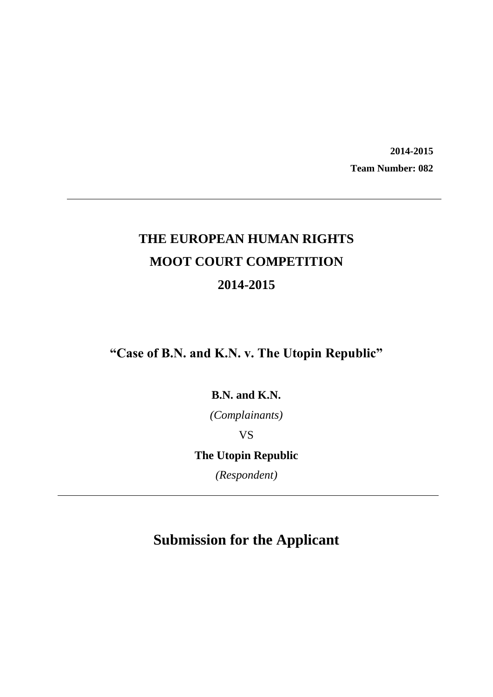**2014-2015 Team Number: 082**

# **THE EUROPEAN HUMAN RIGHTS MOOT COURT COMPETITION 2014-2015**

**"Case of B.N. and K.N. v. The Utopin Republic"**

**B.N. and K.N.**

*(Complainants)*

VS

**The Utopin Republic**

*(Respondent)*

# **Submission for the Applicant**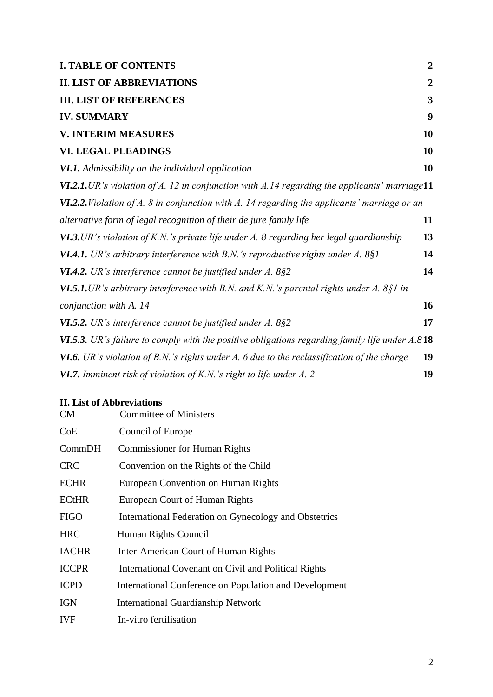# **I. TABLE OF CONTENTS 2**

| <b>II. LIST OF ABBREVIATIONS</b>                                                                        | $\overline{2}$ |
|---------------------------------------------------------------------------------------------------------|----------------|
| <b>III. LIST OF REFERENCES</b>                                                                          | 3              |
| <b>IV. SUMMARY</b>                                                                                      | 9              |
| <b>V. INTERIM MEASURES</b>                                                                              | 10             |
| <b>VI. LEGAL PLEADINGS</b>                                                                              | 10             |
| <b>VI.1.</b> Admissibility on the individual application                                                | 10             |
| <b>VI.2.1.</b> UR's violation of A. 12 in conjunction with A.14 regarding the applicants' marriage11    |                |
| <b>VI.2.2.</b> Violation of A. 8 in conjunction with A. 14 regarding the applicants' marriage or an     |                |
| alternative form of legal recognition of their de jure family life                                      | 11             |
| <b>VI.3.</b> UR's violation of K.N.'s private life under A. 8 regarding her legal guardianship          | 13             |
| <b>VI.4.1.</b> UR's arbitrary interference with B.N.'s reproductive rights under $A$ . 8§1              | 14             |
| <b>VI.4.2.</b> UR's interference cannot be justified under $A$ . 8§2                                    | 14             |
| <b>VI.5.1.</b> UR's arbitrary interference with B.N. and K.N.'s parental rights under A. 8§1 in         |                |
| conjunction with A. 14                                                                                  | 16             |
| <b>VI.5.2.</b> UR's interference cannot be justified under $A$ . 8§2                                    | 17             |
| <b>VI.5.3.</b> UR's failure to comply with the positive obligations regarding family life under $A.818$ |                |
| <b>VI.6.</b> UR's violation of B.N.'s rights under A. 6 due to the reclassification of the charge       | 19             |
| <b>VI.7.</b> Imminent risk of violation of K.N.'s right to life under A. 2                              | 19             |
|                                                                                                         |                |

## **II. List of Abbreviations**

| CM           | <b>Committee of Ministers</b>                          |
|--------------|--------------------------------------------------------|
| CoE          | Council of Europe                                      |
| CommonDH     | <b>Commissioner for Human Rights</b>                   |
| <b>CRC</b>   | Convention on the Rights of the Child                  |
| <b>ECHR</b>  | European Convention on Human Rights                    |
| <b>ECtHR</b> | European Court of Human Rights                         |
| <b>FIGO</b>  | International Federation on Gynecology and Obstetrics  |
| <b>HRC</b>   | Human Rights Council                                   |
| <b>IACHR</b> | Inter-American Court of Human Rights                   |
| <b>ICCPR</b> | International Covenant on Civil and Political Rights   |
| <b>ICPD</b>  | International Conference on Population and Development |
| <b>IGN</b>   | <b>International Guardianship Network</b>              |
| <b>IVF</b>   | In-vitro fertilisation                                 |
|              |                                                        |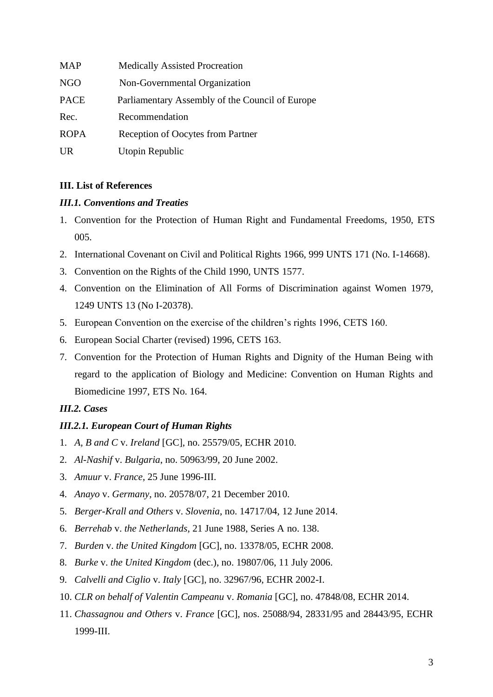| <b>MAP</b>  | <b>Medically Assisted Procreation</b>           |
|-------------|-------------------------------------------------|
| <b>NGO</b>  | Non-Governmental Organization                   |
| <b>PACE</b> | Parliamentary Assembly of the Council of Europe |
| Rec.        | Recommendation                                  |
| <b>ROPA</b> | Reception of Oocytes from Partner               |
| <b>UR</b>   | Utopin Republic                                 |

## <span id="page-2-0"></span>**III. List of References**

## *III.1. Conventions and Treaties*

- 1. Convention for the Protection of Human Right and Fundamental Freedoms, 1950, ETS 005.
- 2. International Covenant on Civil and Political Rights 1966, 999 UNTS 171 (No. I-14668).
- 3. Convention on the Rights of the Child 1990, UNTS 1577.
- 4. Convention on the Elimination of All Forms of Discrimination against Women 1979, 1249 UNTS 13 (No I-20378).
- 5. European Convention on the exercise of the children's rights 1996, CETS 160.
- 6. European Social Charter (revised) 1996, CETS 163.
- 7. Convention for the Protection of Human Rights and Dignity of the Human Being with regard to the application of Biology and Medicine: Convention on Human Rights and Biomedicine 1997, ETS No. 164.

## *III.2. Cases*

## *III.2.1. European Court of Human Rights*

- 1. *A, B and C* v. *Ireland* [GC], no. 25579/05, ECHR 2010.
- 2. *Al-Nashif* v. *Bulgaria*, no. 50963/99, 20 June 2002.
- 3. *Amuur* v. *France*, 25 June 1996-III.
- 4. *Anayo* v. *Germany*, no. 20578/07, 21 December 2010.
- 5. *Berger-Krall and Others* v. *Slovenia*, no. 14717/04, 12 June 2014.
- 6. *Berrehab* v. *the Netherlands*, 21 June 1988, Series A no. 138.
- 7. *Burden* v. *the United Kingdom* [GC], no. 13378/05, ECHR 2008.
- 8. *Burke* v. *the United Kingdom* (dec.), no. 19807/06, 11 July 2006.
- 9. *Calvelli and Ciglio* v. *Italy* [GC], no. 32967/96, ECHR 2002-I.
- 10. *CLR on behalf of Valentin Campeanu* v. *Romania* [GC], no. 47848/08, ECHR 2014.
- 11. *Chassagnou and Others* v. *France* [GC], nos. [25088/94,](http://hudoc.echr.coe.int/sites/eng/pages/search.aspx#{"appno":["25088/94"]}) [28331/95](http://hudoc.echr.coe.int/sites/eng/pages/search.aspx#{"appno":["28331/95"]}) and [28443/95,](http://hudoc.echr.coe.int/sites/eng/pages/search.aspx#{"appno":["28443/95"]}) ECHR 1999-III.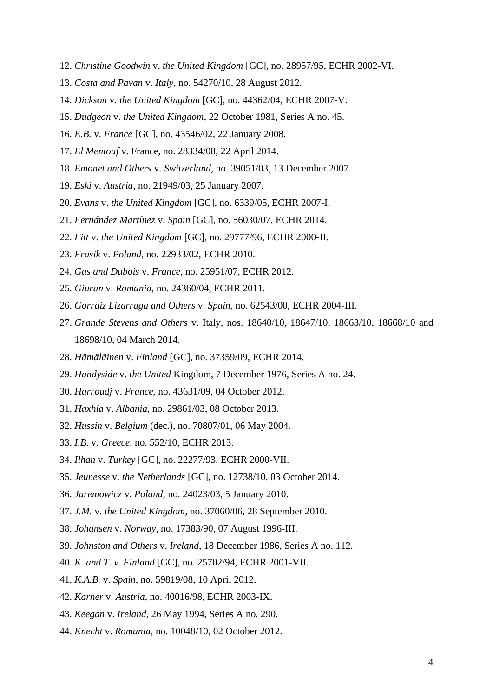- 12. *Christine Goodwin* v. *the United Kingdom* [GC], no. 28957/95, ECHR 2002-VI.
- 13. *Costa and Pavan* v. *Italy*, no. 54270/10, 28 August 2012.
- 14. *Dickson* v. *the United Kingdom* [GC], no. 44362/04, ECHR 2007-V.
- 15. *Dudgeon* v. *the United Kingdom*, 22 October 1981, Series A no. 45.
- 16. *E.B.* v. *France* [GC], no. 43546/02, 22 January 2008.
- 17. *El Mentouf* v. France, no. 28334/08, 22 April 2014.
- 18. *Emonet and Others* v. *Switzerland*, no. 39051/03, 13 December 2007.
- 19. *Eski* v. *Austria*, no. 21949/03, 25 January 2007.
- 20. *Evans* v. *the United Kingdom* [GC], no. 6339/05, ECHR 2007-I.
- 21. *Fernández Martínez* v. *Spain* [GC], no. 56030/07, ECHR 2014.
- 22. *Fitt* v. *the United Kingdom* [GC], no. 29777/96, ECHR 2000-II.
- 23. *Frasik* v. *Poland*, no. 22933/02, ECHR 2010.
- 24. *Gas and Dubois* v. *France*, no. 25951/07, ECHR 2012.
- 25. *Giuran* v. *Romania*, no. 24360/04, ECHR 2011.
- 26. *Gorraiz Lizarraga and Others* v. *Spain*, no. 62543/00, ECHR 2004-III.
- 27. *Grande Stevens and Others* v. Italy, nos. 18640/10, 18647/10, 18663/10, 18668/10 and 18698/10, 04 March 2014.
- 28. *Hämäläinen* v. *Finland* [GC], no. 37359/09, ECHR 2014.
- 29. *Handyside* v. *the United* Kingdom, 7 December 1976, Series A no. 24.
- 30. *Harroudj* v. *France*, no. 43631/09, 04 October 2012.
- 31. *Haxhia* v. *Albania*, no. 29861/03, 08 October 2013.
- 32. *Hussin* v. *Belgium* (dec.), no. 70807/01, 06 May 2004.
- 33. *I.B.* v. *Greece*, no. 552/10, ECHR 2013.
- 34. *Ilhan* v. *Turkey* [GC], no. 22277/93, ECHR 2000-VII.
- 35. *Jeunesse* v. *the Netherlands* [GC], no. 12738/10, 03 October 2014.
- 36. *Jaremowicz* v. *Poland*, no. 24023/03, 5 January 2010.
- 37. *J.M.* v. *the United Kingdom*, no. 37060/06, 28 September 2010.
- 38. *Johansen* v. *Norway*, no. 17383/90, 07 August 1996-III.
- 39. *Johnston and Others* v. *Ireland*, 18 December 1986, Series A no. 112.
- 40. *K. and T. v. Finland* [GC], no. 25702/94, ECHR 2001-VII.
- 41. *K.A.B.* v. *Spain*, no. 59819/08, 10 April 2012.
- 42. *Karner* v. *Austria*, no. 40016/98, ECHR 2003-IX.
- 43. *Keegan* v. *Ireland,* 26 May 1994, Series A no. 290.
- 44. *Knecht* v. *Romania*, no. 10048/10, 02 October 2012.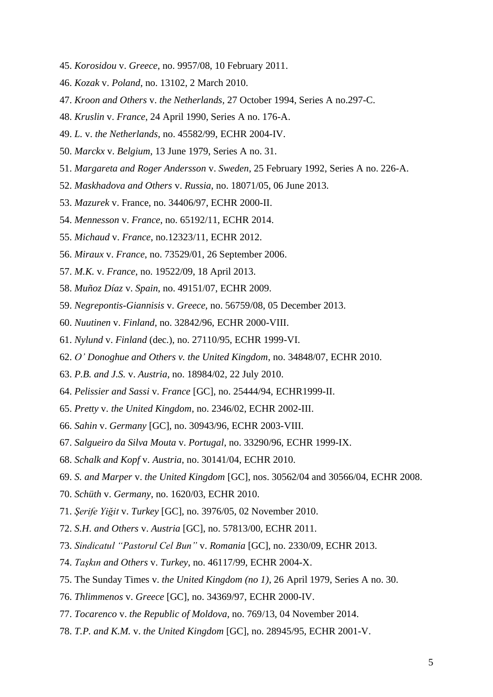- 45. *Korosidou* v. *Greece*, no. 9957/08, 10 February 2011.
- 46. *Kozak* v. *Poland*, no. 13102, 2 March 2010.
- 47. *Kroon and Others* v. *the Netherlands,* 27 October 1994, Series A no.297-C.
- 48. *Kruslin* v. *France*, 24 April 1990, Series A no. 176-A.
- 49. *L.* v. *the Netherlands*, no. 45582/99, ECHR 2004-IV.
- 50. *Marckx* v. *Belgium*, 13 June 1979, Series A no. 31.
- 51. *Margareta and Roger Andersson* v. *Sweden*, 25 February 1992, Series A no. 226-A.
- 52. *Maskhadova and Others* v. *Russia*, no. 18071/05, 06 June 2013.
- 53. *Mazurek* v. France, no. 34406/97, ECHR 2000-II.
- 54. *Mennesson* v. *France*, no. 65192/11, ECHR 2014.
- 55. *Michaud* v. *France*, no.12323/11, ECHR 2012.
- 56. *Miraux* v. *France*, no. 73529/01, 26 September 2006.
- 57. *M.K.* v. *France*, no. 19522/09, 18 April 2013.
- 58. *Muñoz Díaz* v. *Spain*, no. 49151/07, ECHR 2009.
- 59. *Negrepontis-Giannisis* v. *Greece*, no. 56759/08, 05 December 2013.
- 60. *Nuutinen* v. *Finland*, no. 32842/96, ECHR 2000-VIII.
- 61. *Nylund* v. *Finland* (dec.), no. 27110/95, ECHR 1999-VI.
- 62. *O' Donoghue and Others v. the United Kingdom*, no. 34848/07, ECHR 2010.
- 63. *P.B. and J.S.* v. *Austria*, no. 18984/02, 22 July 2010.
- 64. *Pelissier and Sassi* v. *France* [GC], no. 25444/94, ECHR1999-II.
- 65. *Pretty* v. *the United Kingdom*, no. 2346/02, ECHR 2002-III.
- 66. *Sahin* v. *Germany* [GC], no. 30943/96, ECHR 2003-VIII.
- 67. *Salgueiro da Silva Mouta* v. *Portugal*, no. 33290/96, ECHR 1999-IX.
- 68. *Schalk and Kopf* v. *Austria*, no. 30141/04, ECHR 2010.
- 69. *S. and Marper* v. *the United Kingdom* [GC], nos. 30562/04 and 30566/04, ECHR 2008.
- 70. *Schüth* v. *Germany*, no. 1620/03, ECHR 2010.
- 71. *Şerife Yiğit* v. *Turkey* [GC], no. 3976/05, 02 November 2010.
- 72. *S.H. and Others* v. *Austria* [GC], no. 57813/00, ECHR 2011.
- 73. *Sindicatul "Pastorul Cel Bun"* v. *Romania* [GC], no. 2330/09, ECHR 2013.
- 74. *Taşkın and Others* v. *Turkey*, no. 46117/99, ECHR 2004-X.
- 75. The Sunday Times v. *the United Kingdom (no 1)*, 26 April 1979, Series A no. 30.
- 76. *Thlimmenos* v. *Greece* [GC], no. 34369/97, ECHR 2000-IV.
- 77. *Tocarenco* v. *the Republic of Moldova*, no. 769/13, 04 November 2014.
- 78. *T.P. and K.M.* v. *the United Kingdom* [GC], no. 28945/95, ECHR 2001-V.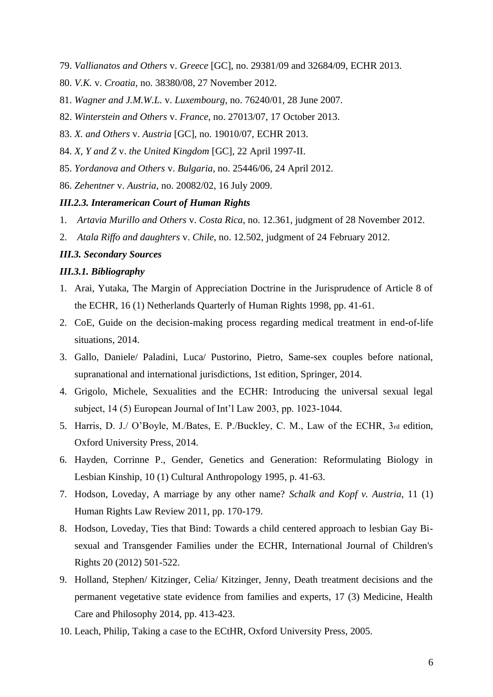- 79. *Vallianatos and Others* v. *Greece* [GC], no. 29381/09 and 32684/09, ECHR 2013.
- 80. *V.K.* v. *Croatia*, no. 38380/08, 27 November 2012.
- 81. *Wagner and J.M.W.L.* v. *Luxembourg*, no. 76240/01, 28 June 2007.
- 82. *Winterstein and Others* v. *France*, no. 27013/07, 17 October 2013.
- 83. *X. and Others* v. *Austria* [GC], no. 19010/07, ECHR 2013.
- 84. *X, Y and Z* v. *the United Kingdom* [GC], 22 April 1997-II.
- 85. *Yordanova and Others* v. *Bulgaria*, no. 25446/06, 24 April 2012.
- 86. *Zehentner* v. *Austria*, no. 20082/02, 16 July 2009.

#### *III.2.3. Interamerican Court of Human Rights*

- 1. *Artavia Murillo and Others* v. *Costa Rica*, no. 12.361, judgment of 28 November 2012.
- 2. *Atala Riffo and daughters* v. *Chile*, no. 12*.*502, judgment of 24 February 2012.

## *III.3. Secondary Sources*

#### *III.3.1. Bibliography*

- 1. Arai, Yutaka, The Margin of Appreciation Doctrine in the Jurisprudence of Article 8 of the ECHR, 16 (1) Netherlands Quarterly of Human Rights 1998, pp. 41-61.
- 2. CoE, Guide on the decision-making process regarding medical treatment in end-of-life situations, 2014.
- 3. Gallo, Daniele/ Paladini, Luca/ Pustorino, Pietro, Same-sex couples before national, supranational and international jurisdictions, 1st edition, Springer, 2014.
- 4. Grigolo, Michele, Sexualities and the ECHR: Introducing the universal sexual legal subject, 14 (5) European Journal of Int'l Law 2003, pp. 1023-1044.
- 5. Harris, D. J./ O'Boyle, M./Bates, E. P./Buckley, C. M., Law of the ECHR, 3rd edition, Oxford University Press, 2014.
- 6. Hayden, Corrinne P., Gender, Genetics and Generation: Reformulating Biology in Lesbian Kinship, 10 (1) Cultural Anthropology 1995, p. 41-63.
- 7. Hodson, Loveday, A marriage by any other name? *Schalk and Kopf v. Austria*, 11 (1) Human Rights Law Review 2011, pp. 170-179.
- 8. Hodson, Loveday, Ties that Bind: Towards a child centered approach to lesbian Gay Bisexual and Transgender Families under the ECHR, International Journal of Children's Rights 20 (2012) 501-522.
- 9. Holland, Stephen/ Kitzinger, Celia/ Kitzinger, Jenny, Death treatment decisions and the permanent vegetative state evidence from families and experts, 17 (3) Medicine, Health Care and Philosophy 2014, pp. 413-423.
- 10. Leach, Philip, Taking a case to the ECtHR, Oxford University Press, 2005.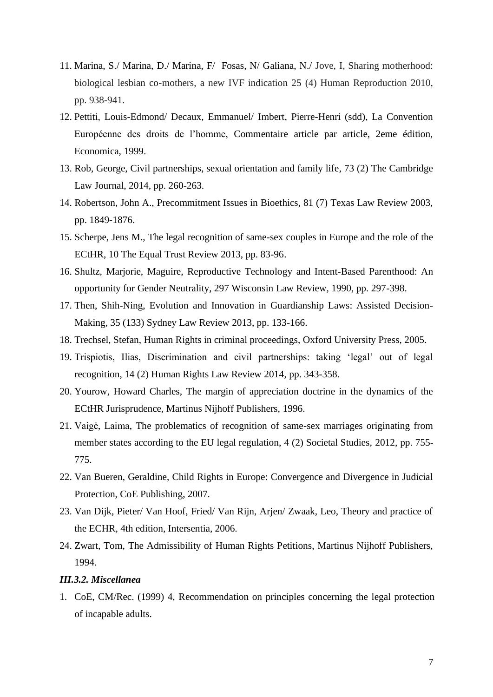- 11. Marina, S./ Marina, D./ Marina, F/ Fosas, N/ Galiana, N./ Jove, I, Sharing motherhood: biological lesbian co-mothers, a new IVF indication 25 (4) Human Reproduction 2010, pp. 938-941.
- 12. Pettiti, Louis-Edmond/ Decaux, Emmanuel/ Imbert, Pierre-Henri (sdd), La Convention Européenne des droits de l'homme, Commentaire article par article, 2eme édition, Economica, 1999.
- 13. Rob, George, Civil partnerships, sexual orientation and family life, 73 (2) The Cambridge Law Journal, 2014, pp. 260-263.
- 14. Robertson, John A., Precommitment Issues in Bioethics, 81 (7) Texas Law Review 2003, pp. 1849-1876.
- 15. Scherpe, Jens M., The legal recognition of same-sex couples in Europe and the role of the ECtHR, 10 The Equal Trust Review 2013, pp. 83-96.
- 16. Shultz, Marjorie, Maguire, Reproductive Technology and Intent-Based Parenthood: An opportunity for Gender Neutrality, 297 Wisconsin Law Review, 1990, pp. 297-398.
- 17. Then, Shih-Ning, Evolution and Innovation in Guardianship Laws: Assisted Decision-Making, 35 (133) Sydney Law Review 2013, pp. 133-166.
- 18. Trechsel, Stefan, Human Rights in criminal proceedings, Oxford University Press, 2005.
- 19. Trispiotis, Ilias, Discrimination and civil partnerships: taking 'legal' out of legal recognition, 14 (2) Human Rights Law Review 2014, pp. 343-358.
- 20. Yourow, Howard Charles, The margin of appreciation doctrine in the dynamics of the ECtHR Jurisprudence, Martinus Nijhoff Publishers, 1996.
- 21. Vaigė, Laima, The problematics of recognition of same-sex marriages originating from member states according to the EU legal regulation, 4 (2) Societal Studies, 2012, pp. 755- 775.
- 22. Van Bueren, Geraldine, Child Rights in Europe: Convergence and Divergence in Judicial Protection, CoE Publishing, 2007.
- 23. Van Dijk, Pieter/ Van Hoof, Fried/ Van Rijn, Arjen/ Zwaak, Leo, Theory and practice of the ECHR, 4th edition, Intersentia, 2006.
- 24. Zwart, Tom, The Admissibility of Human Rights Petitions, Martinus Nijhoff Publishers, 1994.

### *III.3.2. Miscellanea*

1. CoE, CM/Rec. (1999) 4, Recommendation on principles concerning the legal protection of incapable adults.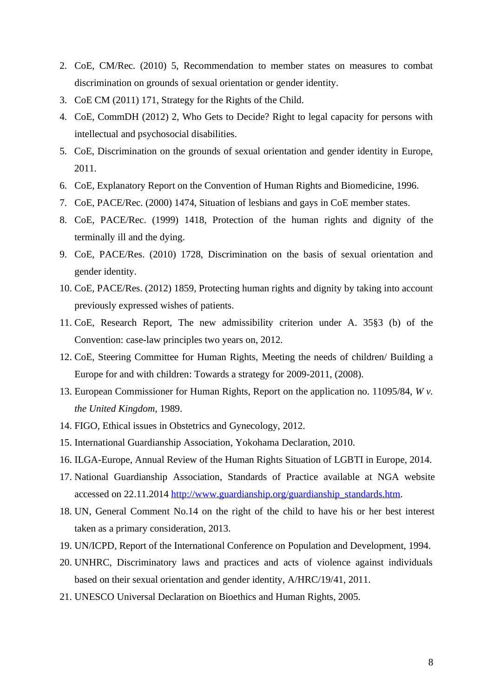- 2. CoE, CM/Rec. (2010) 5, Recommendation to member states on measures to combat discrimination on grounds of sexual orientation or gender identity.
- 3. CoE CM (2011) 171, Strategy for the Rights of the Child.
- 4. CoE, CommDH (2012) 2, Who Gets to Decide? Right to legal capacity for persons with intellectual and psychosocial disabilities.
- 5. CoE, Discrimination on the grounds of sexual orientation and gender identity in Europe, 2011.
- 6. CoE, Explanatory Report on the Convention of Human Rights and Biomedicine, 1996.
- 7. CoE, PACE/Rec. (2000) 1474, Situation of lesbians and gays in CoE member states.
- 8. CoE, PACE/Rec. (1999) 1418, Protection of the human rights and dignity of the terminally ill and the dying.
- 9. CoE, PACE/Res. (2010) 1728, Discrimination on the basis of sexual orientation and gender identity.
- 10. CoE, PACE/Res. (2012) 1859, Protecting human rights and dignity by taking into account previously expressed wishes of patients.
- 11. CoE, Research Report, The new admissibility criterion under A. 35§3 (b) of the Convention: case-law principles two years on, 2012.
- 12. CoE, Steering Committee for Human Rights, Meeting the needs of children/ Building a Europe for and with children: Towards a strategy for 2009-2011, (2008).
- 13. European Commissioner for Human Rights, Report on the application no. 11095/84, *W v. the United Kingdom*, 1989.
- 14. FIGO, Ethical issues in Obstetrics and Gynecology, 2012.
- 15. International Guardianship Association, Yokohama Declaration, 2010.
- 16. ILGA-Europe, Annual Review of the Human Rights Situation of LGBTI in Europe, 2014.
- 17. National Guardianship Association, Standards of Practice available at NGA website accessed on 22.11.2014 [http://www.guardianship.org/guardianship\\_standards.htm.](http://www.guardianship.org/guardianship_standards.htm)
- 18. UN, General Comment No.14 on the right of the child to have his or her best interest taken as a primary consideration, 2013.
- 19. UN/ICPD, Report of the International Conference on Population and Development, 1994.
- 20. UNHRC, Discriminatory laws and practices and acts of violence against individuals based on their sexual orientation and gender identity, A/HRC/19/41, 2011.
- 21. UNESCO Universal Declaration on Bioethics and Human Rights, 2005.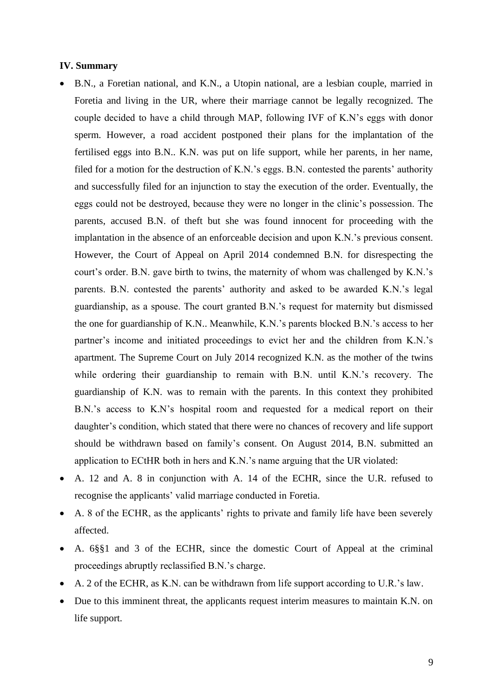#### <span id="page-8-0"></span>**IV. Summary**

- B.N., a Foretian national, and K.N., a Utopin national, are a lesbian couple, married in Foretia and living in the UR, where their marriage cannot be legally recognized. The couple decided to have a child through MAP, following IVF of K.N's eggs with donor sperm. However, a road accident postponed their plans for the implantation of the fertilised eggs into B.N.. K.N. was put on life support, while her parents, in her name, filed for a motion for the destruction of K.N.'s eggs. B.N. contested the parents' authority and successfully filed for an injunction to stay the execution of the order. Eventually, the eggs could not be destroyed, because they were no longer in the clinic's possession. The parents, accused B.N. of theft but she was found innocent for proceeding with the implantation in the absence of an enforceable decision and upon K.N.'s previous consent. However, the Court of Appeal on April 2014 condemned B.N. for disrespecting the court's order. B.N. gave birth to twins, the maternity of whom was challenged by K.N.'s parents. B.N. contested the parents' authority and asked to be awarded K.N.'s legal guardianship, as a spouse. The court granted B.N.'s request for maternity but dismissed the one for guardianship of K.N.. Meanwhile, K.N.'s parents blocked B.N.'s access to her partner's income and initiated proceedings to evict her and the children from K.N.'s apartment. The Supreme Court on July 2014 recognized K.N. as the mother of the twins while ordering their guardianship to remain with B.N. until K.N.'s recovery. The guardianship of K.N. was to remain with the parents. In this context they prohibited B.N.'s access to K.N's hospital room and requested for a medical report on their daughter's condition, which stated that there were no chances of recovery and life support should be withdrawn based on family's consent. On August 2014, B.N. submitted an application to ECtHR both in hers and K.N.'s name arguing that the UR violated:
- A. 12 and A. 8 in conjunction with A. 14 of the ECHR, since the U.R. refused to recognise the applicants' valid marriage conducted in Foretia.
- A. 8 of the ECHR, as the applicants' rights to private and family life have been severely affected.
- A. 6§§1 and 3 of the ECHR, since the domestic Court of Appeal at the criminal proceedings abruptly reclassified B.N.'s charge.
- A. 2 of the ECHR, as K.N. can be withdrawn from life support according to U.R.'s law.
- Due to this imminent threat, the applicants request interim measures to maintain K.N. on life support.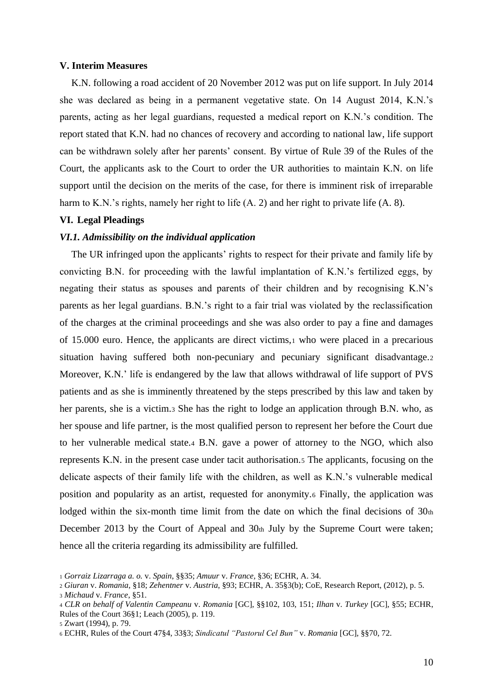#### <span id="page-9-0"></span>**V. Interim Measures**

K.N. following a road accident of 20 November 2012 was put on life support. In July 2014 she was declared as being in a permanent vegetative state. On 14 August 2014, K.N.'s parents, acting as her legal guardians, requested a medical report on K.N.'s condition. The report stated that K.N. had no chances of recovery and according to national law, life support can be withdrawn solely after her parents' consent. By virtue of Rule 39 of the Rules of the Court, the applicants ask to the Court to order the UR authorities to maintain K.N. on life support until the decision on the merits of the case, for there is imminent risk of irreparable harm to K.N.'s rights, namely her right to life (A. 2) and her right to private life (A. 8).

#### <span id="page-9-1"></span>**VI. Legal Pleadings**

#### <span id="page-9-2"></span>*VI.1. Admissibility on the individual application*

The UR infringed upon the applicants' rights to respect for their private and family life by convicting B.N. for proceeding with the lawful implantation of K.N.'s fertilized eggs, by negating their status as spouses and parents of their children and by recognising K.N's parents as her legal guardians. B.N.'s right to a fair trial was violated by the reclassification of the charges at the criminal proceedings and she was also order to pay a fine and damages of 15.000 euro. Hence, the applicants are direct victims,<sup>1</sup> who were placed in a precarious situation having suffered both non-pecuniary and pecuniary significant disadvantage.<sup>2</sup> Moreover, K.N.' life is endangered by the law that allows withdrawal of life support of PVS patients and as she is imminently threatened by the steps prescribed by this law and taken by her parents, she is a victim.<sup>3</sup> She has the right to lodge an application through B.N. who, as her spouse and life partner, is the most qualified person to represent her before the Court due to her vulnerable medical state.<sup>4</sup> B.N. gave a power of attorney to the NGO, which also represents K.N. in the present case under tacit authorisation.<sup>5</sup> The applicants, focusing on the delicate aspects of their family life with the children, as well as K.N.'s vulnerable medical position and popularity as an artist, requested for anonymity.<sup>6</sup> Finally, the application was lodged within the six-month time limit from the date on which the final decisions of  $30<sub>th</sub>$ December 2013 by the Court of Appeal and 30th July by the Supreme Court were taken; hence all the criteria regarding its admissibility are fulfilled.

<sup>1</sup> *Gorraiz Lizarraga a. o.* v. *Spain*, §§35; *Amuur* v. *France,* §36; ECHR, A. 34.

<sup>2</sup> *Giuran* v. *Romania*, §18; *Zehentner* v. *Austria*, §93; ECHR, A. 35§3(b); CoE, Research Report, (2012), p. 5.

<sup>3</sup> *Michaud* v. *France*, §51.

<sup>4</sup> *CLR on behalf of Valentin Campeanu* v. *Romania* [GC], §§102, 103, 151; *Ilhan* v. *Turkey* [GC], §55; ECHR, Rules of the Court 36§1; Leach (2005), p. 119.

<sup>5</sup> Zwart (1994), p. 79.

<sup>6</sup> ECHR, Rules of the Court 47§4, 33§3; *Sindicatul "Pastorul Cel Bun"* v. *Romania* [GC], §§70, 72.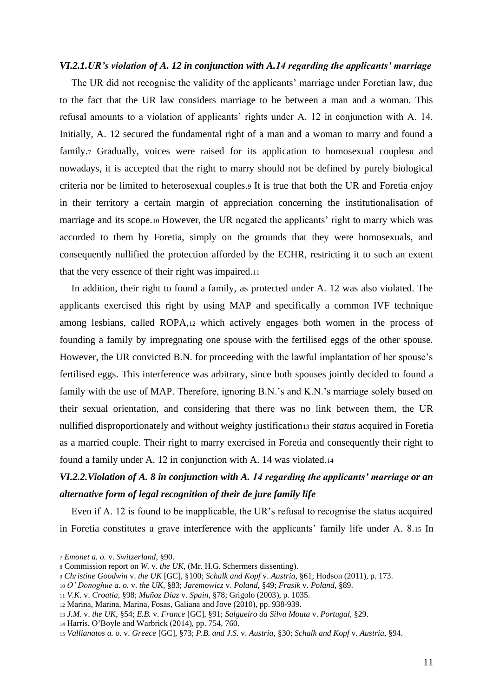#### <span id="page-10-0"></span>*VI.2.1.UR's violation of A. 12 in conjunction with A.14 regarding the applicants' marriage*

The UR did not recognise the validity of the applicants' marriage under Foretian law, due to the fact that the UR law considers marriage to be between a man and a woman. This refusal amounts to a violation of applicants' rights under A. 12 in conjunction with A. 14. Initially, A. 12 secured the fundamental right of a man and a woman to marry and found a family.7 Gradually, voices were raised for its application to homosexual coupless and nowadays, it is accepted that the right to marry should not be defined by purely biological criteria nor be limited to heterosexual couples.<sup>9</sup> It is true that both the UR and Foretia enjoy in their territory a certain margin of appreciation concerning the institutionalisation of marriage and its scope.<sup>10</sup> However, the UR negated the applicants' right to marry which was accorded to them by Foretia, simply on the grounds that they were homosexuals, and consequently nullified the protection afforded by the ECHR, restricting it to such an extent that the very essence of their right was impaired.<sup>11</sup>

In addition, their right to found a family, as protected under A. 12 was also violated. The applicants exercised this right by using MAP and specifically a common IVF technique among lesbians, called ROPA,<sup>12</sup> which actively engages both women in the process of founding a family by impregnating one spouse with the fertilised eggs of the other spouse. However, the UR convicted B.N. for proceeding with the lawful implantation of her spouse's fertilised eggs. This interference was arbitrary, since both spouses jointly decided to found a family with the use of MAP. Therefore, ignoring B.N.'s and K.N.'s marriage solely based on their sexual orientation, and considering that there was no link between them, the UR nullified disproportionately and without weighty justification<sup>13</sup> their *status* acquired in Foretia as a married couple. Their right to marry exercised in Foretia and consequently their right to found a family under A. 12 in conjunction with A. 14 was violated.<sup>14</sup>

# <span id="page-10-1"></span>*VI.2.2.Violation of A. 8 in conjunction with A. 14 regarding the applicants' marriage or an alternative form of legal recognition of their de jure family life*

Even if A. 12 is found to be inapplicable, the UR's refusal to recognise the status acquired in Foretia constitutes a grave interference with the applicants' family life under A. 8.<sup>15</sup> In

<sup>7</sup> *Emonet a. o.* v. *Switzerland*, §90.

<sup>8</sup> Commission report on *W.* v. *the UK*, (Mr. H.G. Schermers dissenting).

<sup>9</sup> *Christine Goodwin* v. *the UK* [GC], §100; *Schalk and Kopf* v. *Austria*, §61; Hodson (2011), p. 173.

<sup>10</sup> *O' Donoghue a. o.* v. *the UK*, §83; *Jaremowicz* v. *Poland*, §49; *Frasik* v. *Poland*, §89.

<sup>11</sup> *V.K.* v. *Croatia*, §98; *Muñoz Díaz* v. *Spain,* §78; Grigolo (2003), p. 1035.

<sup>12</sup> Marina, Marina, Marina, Fosas, Galiana and Jove (2010), pp. 938-939.

<sup>13</sup> *J.M*. v. *the UK*, §54; *E.B.* v. *France* [GC], §91; *Salgueiro da Silva Mouta* v. *Portugal*, §29.

<sup>14</sup> Harris, O'Boyle and Warbrick (2014), pp. 754, 760.

<sup>15</sup> *Vallianatos a. o.* v. *Greece* [GC], §73; *P.B. and J.S.* v. *Austria*, §30; *Schalk and Kopf* v. *Austria*, §94.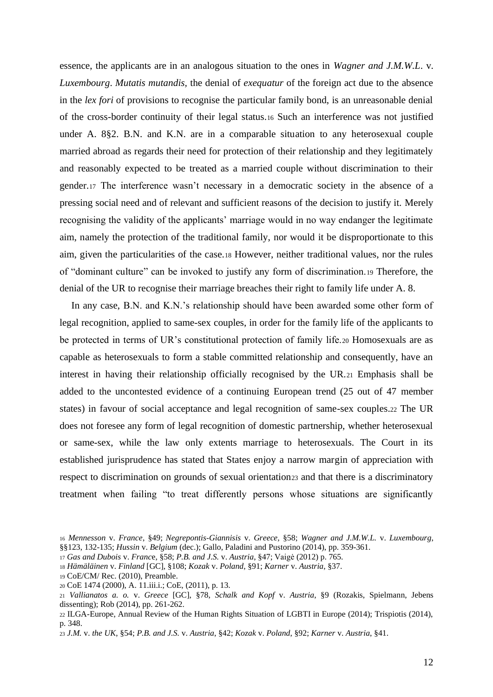essence, the applicants are in an analogous situation to the ones in *Wagner and J.M.W.L*. v. *Luxembourg*. *Mutatis mutandis,* the denial of *exequatur* of the foreign act due to the absence in the *lex fori* of provisions to recognise the particular family bond, is an unreasonable denial of the cross-border continuity of their legal status.<sup>16</sup> Such an interference was not justified under A. 8§2. B.N. and K.N. are in a comparable situation to any heterosexual couple married abroad as regards their need for protection of their relationship and they legitimately and reasonably expected to be treated as a married couple without discrimination to their gender.<sup>17</sup> The interference wasn't necessary in a democratic society in the absence of a pressing social need and of relevant and sufficient reasons of the decision to justify it. Merely recognising the validity of the applicants' marriage would in no way endanger the legitimate aim, namely the protection of the traditional family, nor would it be disproportionate to this aim, given the particularities of the case.<sup>18</sup> However, neither traditional values, nor the rules of "dominant culture" can be invoked to justify any form of discrimination.<sup>19</sup> Therefore, the denial of the UR to recognise their marriage breaches their right to family life under A. 8.

In any case, B.N. and K.N.'s relationship should have been awarded some other form of legal recognition, applied to same-sex couples, in order for the family life of the applicants to be protected in terms of UR's constitutional protection of family life.<sup>20</sup> Homosexuals are as capable as heterosexuals to form a stable committed relationship and consequently, have an interest in having their relationship officially recognised by the UR.<sup>21</sup> Emphasis shall be added to the uncontested evidence of a continuing European trend (25 out of 47 member states) in favour of social acceptance and legal recognition of same-sex couples.<sup>22</sup> The UR does not foresee any form of legal recognition of domestic partnership, whether heterosexual or same-sex, while the law only extents marriage to heterosexuals. The Court in its established jurisprudence has stated that States enjoy a narrow margin of appreciation with respect to discrimination on grounds of sexual orientation 23 and that there is a discriminatory treatment when failing "to treat differently persons whose situations are significantly

<sup>16</sup> *Mennesson* v. *France*, §49; *Negrepontis-Giannisis* v. *Greece,* §58; *Wagner and J.M.W.L.* v. *Luxembourg*, §§123, 132-135; *Hussin* v. *Belgium* (dec.); Gallo, Paladini and Pustorino (2014), pp. 359-361.

<sup>17</sup> *Gas and Dubois* v. *Franc*e, §58; *P.B. and J.S.* v. *Austria*, §47; Vaigė (2012) p. 765.

<sup>18</sup> *Hämäläinen* v. *Finland* [GC], §108; *Kozak* v. *Poland*, §91; *Karner* v. *Austria*, §37.

<sup>19</sup> CoE/CM/ Rec. (2010), Preamble.

<sup>20</sup> CoE 1474 (2000), A. 11.iii.i.; CoE, (2011), p. 13.

<sup>21</sup> *Vallianatos a. o.* v. *Greece* [GC], §78, *Schalk and Kopf* v. *Austria*, §9 (Rozakis, Spielmann, Jebens dissenting); Rob (2014), pp. 261-262.

<sup>22</sup> ILGA-Europe, Annual Review of the Human Rights Situation of LGBTI in Europe (2014); Trispiotis (2014), p. 348.

<sup>23</sup> *J.M.* v. *the UK*, §54; *P.B. and J.S.* v. *Austria*, §42; *Kozak* v. *Poland*, §92; *Karner* v. *Austria*, §41.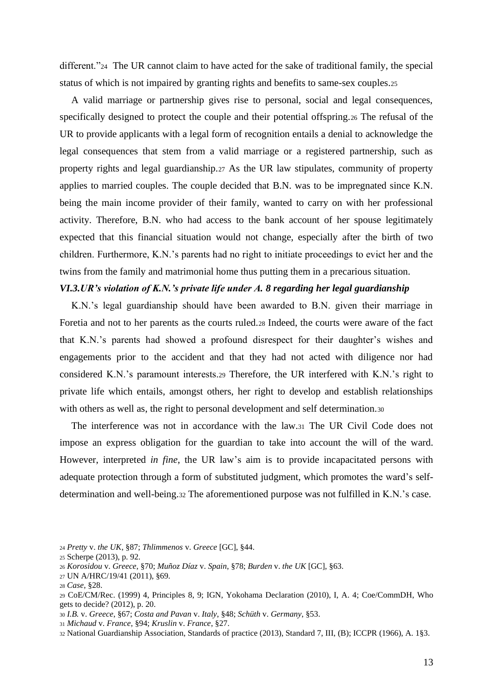different."<sup>24</sup> The UR cannot claim to have acted for the sake of traditional family, the special status of which is not impaired by granting rights and benefits to same-sex couples.<sup>25</sup>

A valid marriage or partnership gives rise to personal, social and legal consequences, specifically designed to protect the couple and their potential offspring.<sup>26</sup> The refusal of the UR to provide applicants with a legal form of recognition entails a denial to acknowledge the legal consequences that stem from a valid marriage or a registered partnership, such as property rights and legal guardianship.<sup>27</sup> As the UR law stipulates, community of property applies to married couples. The couple decided that B.N. was to be impregnated since K.N. being the main income provider of their family, wanted to carry on with her professional activity. Therefore, B.N. who had access to the bank account of her spouse legitimately expected that this financial situation would not change, especially after the birth of two children. Furthermore, K.N.'s parents had no right to initiate proceedings to evict her and the twins from the family and matrimonial home thus putting them in a precarious situation.

## <span id="page-12-0"></span>*VI.3.UR's violation of K.N.'s private life under A. 8 regarding her legal guardianship*

K.N.'s legal guardianship should have been awarded to B.N. given their marriage in Foretia and not to her parents as the courts ruled.<sup>28</sup> Indeed, the courts were aware of the fact that K.N.'s parents had showed a profound disrespect for their daughter's wishes and engagements prior to the accident and that they had not acted with diligence nor had considered K.N.'s paramount interests.<sup>29</sup> Therefore, the UR interfered with K.N.'s right to private life which entails, amongst others, her right to develop and establish relationships with others as well as, the right to personal development and self determination.30

The interference was not in accordance with the law.<sup>31</sup> The UR Civil Code does not impose an express obligation for the guardian to take into account the will of the ward. However, interpreted *in fine*, the UR law's aim is to provide incapacitated persons with adequate protection through a form of substituted judgment, which promotes the ward's selfdetermination and well-being.<sup>32</sup> The aforementioned purpose was not fulfilled in K.N.'s case.

- <sup>24</sup> *Pretty* v. *the UK*, §87; *Thlimmenos* v. *Greece* [GC], §44.
- <sup>25</sup> Scherpe (2013), p. 92.
- <sup>26</sup> *Korosidou* v. *Greece*, §70; *Muñoz Díaz* v. *Spain*, §78; *Burden* v. *the UK* [GC], §63.
- <sup>27</sup> UN A/HRC/19/41 (2011), §69.

- <sup>30</sup> *I.B.* v. *Greece*, §67; *Costa and Pavan* v. *Italy*, §48; *Schüth* v. *Germany*, §53.
- <sup>31</sup> *Michaud* v. *France*, §94; *Kruslin* v. *France*, §27.

<sup>28</sup> *Case*, §28.

<sup>29</sup> CoE/CM/Rec. (1999) 4, Principles 8, 9; IGN, Yokohama Declaration (2010), I, A. 4; Coe/CommDH, Who gets to decide? (2012), p. 20.

<sup>32</sup> National Guardianship Association, Standards of practice (2013), Standard 7, III, (B); ICCPR (1966), A. 1§3.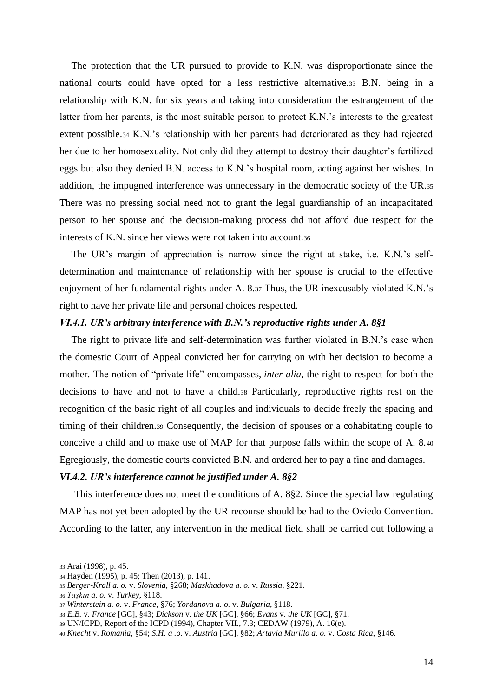The protection that the UR pursued to provide to K.N. was disproportionate since the national courts could have opted for a less restrictive alternative.<sup>33</sup> B.N. being in a relationship with K.N. for six years and taking into consideration the estrangement of the latter from her parents, is the most suitable person to protect K.N.'s interests to the greatest extent possible.<sup>34</sup> K.N.'s relationship with her parents had deteriorated as they had rejected her due to her homosexuality. Not only did they attempt to destroy their daughter's fertilized eggs but also they denied B.N. access to K.N.'s hospital room, acting against her wishes. In addition, the impugned interference was unnecessary in the democratic society of the UR.<sup>35</sup> There was no pressing social need not to grant the legal guardianship of an incapacitated person to her spouse and the decision-making process did not afford due respect for the interests of K.N. since her views were not taken into account.<sup>36</sup>

The UR's margin of appreciation is narrow since the right at stake, i.e. K.N.'s selfdetermination and maintenance of relationship with her spouse is crucial to the effective enjoyment of her fundamental rights under A. 8.<sup>37</sup> Thus, the UR inexcusably violated K.N.'s right to have her private life and personal choices respected.

#### <span id="page-13-0"></span>*VI.4.1. UR's arbitrary interference with B.N.'s reproductive rights under A. 8§1*

The right to private life and self-determination was further violated in B.N.'s case when the domestic Court of Appeal convicted her for carrying on with her decision to become a mother. The notion of "private life" encompasses, *inter alia*, the right to respect for both the decisions to have and not to have a child.<sup>38</sup> Particularly, reproductive rights rest on the recognition of the basic right of all couples and individuals to decide freely the spacing and timing of their children.<sup>39</sup> Consequently, the decision of spouses or a cohabitating couple to conceive a child and to make use of MAP for that purpose falls within the scope of A. 8.<sup>40</sup> Egregiously, the domestic courts convicted B.N. and ordered her to pay a fine and damages.

#### <span id="page-13-1"></span>*VI.4.2. UR's interference cannot be justified under A. 8§2*

This interference does not meet the conditions of A. 8§2. Since the special law regulating MAP has not yet been adopted by the UR recourse should be had to the Oviedo Convention. According to the latter, any intervention in the medical field shall be carried out following a

<sup>33</sup> Arai (1998), p. 45.

<sup>34</sup> Hayden (1995), p. 45; Then (2013), p. 141.

<sup>35</sup> *Berger-Krall a. o.* v. *Slovenia*, §268; *Maskhadova a. o.* v. *Russia*, §221.

<sup>36</sup> *Taşkın a. o.* v. *Turkey*, §118.

<sup>37</sup> *Winterstein a. o.* v. *France*, §76; *Yordanova a. o.* v. *Bulgaria*, §118.

<sup>38</sup> *E.B.* v. *France* [GC], §43; *Dickson* v. *the UK* [GC], §66; *Evans* v. *the UK* [GC], §71.

<sup>39</sup> UN/ICPD, Report of the ICPD (1994), Chapter VII., 7.3; CEDAW (1979), A. 16(e).

<sup>40</sup> *Knecht* v. *Romania*, §54; *S.H. a .o.* v. *Austria* [GC], §82; *Artavia Murillo a. o.* v. *Costa Rica*, §146.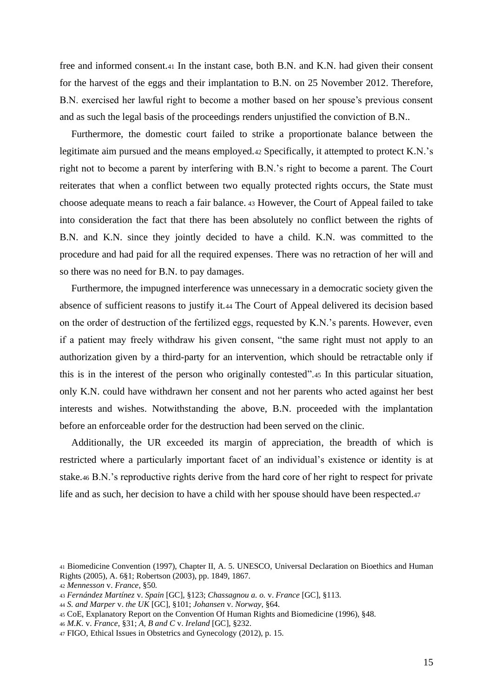free and informed consent.<sup>41</sup> In the instant case, both B.N. and K.N. had given their consent for the harvest of the eggs and their implantation to B.N. on 25 November 2012. Therefore, B.N. exercised her lawful right to become a mother based on her spouse's previous consent and as such the legal basis of the proceedings renders unjustified the conviction of B.N..

Furthermore, the domestic court failed to strike a proportionate balance between the legitimate aim pursued and the means employed.<sup>42</sup> Specifically, it attempted to protect K.N.'s right not to become a parent by interfering with B.N.'s right to become a parent. The Court reiterates that when a conflict between two equally protected rights occurs, the State must choose adequate means to reach a fair balance. <sup>43</sup> However, the Court of Appeal failed to take into consideration the fact that there has been absolutely no conflict between the rights of B.N. and K.N. since they jointly decided to have a child. K.N. was committed to the procedure and had paid for all the required expenses. There was no retraction of her will and so there was no need for B.N. to pay damages.

Furthermore, the impugned interference was unnecessary in a democratic society given the absence of sufficient reasons to justify it.<sup>44</sup> The Court of Appeal delivered its decision based on the order of destruction of the fertilized eggs, requested by K.N.'s parents. However, even if a patient may freely withdraw his given consent, "the same right must not apply to an authorization given by a third-party for an intervention, which should be retractable only if this is in the interest of the person who originally contested".<sup>45</sup> In this particular situation, only K.N. could have withdrawn her consent and not her parents who acted against her best interests and wishes. Notwithstanding the above, B.N. proceeded with the implantation before an enforceable order for the destruction had been served on the clinic.

Additionally, the UR exceeded its margin of appreciation, the breadth of which is restricted where a particularly important facet of an individual's existence or identity is at stake.<sup>46</sup> B.N.'s reproductive rights derive from the hard core of her right to respect for private life and as such, her decision to have a child with her spouse should have been respected.<sup>47</sup>

<sup>41</sup> Biomedicine Convention (1997), Chapter II, A. 5. UNESCO, Universal Declaration on Bioethics and Human Rights (2005), A. 6§1; Robertson (2003), pp. 1849, 1867.

<sup>42</sup> *Mennesson* v. *France*, §50*.*

<sup>43</sup> *Fernández Martínez* v. *Spain* [GC], §123; *Chassagnou a. o.* v. *France* [GC], §113.

<sup>44</sup> *S. and Marper* v. *the UK* [GC], §101; *Johansen* v. *Norway*, §64.

<sup>45</sup> CoE, Explanatory Report on the Convention Of Human Rights and Biomedicine (1996), §48.

<sup>46</sup> *M.K.* v. *France*, §31; *A, B and C* v. *Ireland* [GC], §232.

<sup>47</sup> FIGO, Ethical Issues in Obstetrics and Gynecology (2012), p. 15.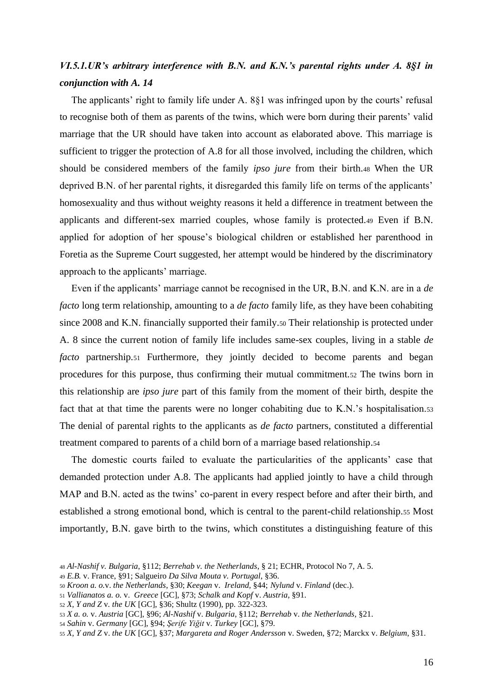# <span id="page-15-0"></span>*VI.5.1.UR's arbitrary interference with B.N. and K.N.'s parental rights under A. 8§1 in conjunction with A. 14*

The applicants' right to family life under A. 8§1 was infringed upon by the courts' refusal to recognise both of them as parents of the twins, which were born during their parents' valid marriage that the UR should have taken into account as elaborated above. This marriage is sufficient to trigger the protection of A.8 for all those involved, including the children, which should be considered members of the family *ipso jure* from their birth.<sup>48</sup> When the UR deprived B.N. of her parental rights, it disregarded this family life on terms of the applicants' homosexuality and thus without weighty reasons it held a difference in treatment between the applicants and different-sex married couples, whose family is protected.<sup>49</sup> Even if B.N. applied for adoption of her spouse's biological children or established her parenthood in Foretia as the Supreme Court suggested, her attempt would be hindered by the discriminatory approach to the applicants' marriage.

Even if the applicants' marriage cannot be recognised in the UR, B.N. and K.N. are in a *de facto* long term relationship, amounting to a *de facto* family life, as they have been cohabiting since 2008 and K.N. financially supported their family.<sup>50</sup> Their relationship is protected under A. 8 since the current notion of family life includes same-sex couples, living in a stable *de facto* partnership.<sup>51</sup> Furthermore, they jointly decided to become parents and began procedures for this purpose, thus confirming their mutual commitment.<sup>52</sup> The twins born in this relationship are *ipso jure* part of this family from the moment of their birth, despite the fact that at that time the parents were no longer cohabiting due to K.N.'s hospitalisation.<sup>53</sup> The denial of parental rights to the applicants as *de facto* partners, constituted a differential treatment compared to parents of a child born of a marriage based relationship.<sup>54</sup>

The domestic courts failed to evaluate the particularities of the applicants' case that demanded protection under A.8. The applicants had applied jointly to have a child through MAP and B.N. acted as the twins' co-parent in every respect before and after their birth, and established a strong emotional bond, which is central to the parent-child relationship.<sup>55</sup> Most importantly, B.N. gave birth to the twins, which constitutes a distinguishing feature of this

<sup>48</sup> *Al-Nashif v. Bulgaria*, §112; *Berrehab v. the Netherlands*, § 21; ECHR, Protocol No 7, A. 5.

<sup>49</sup> *E.B.* v. France, §91; Salgueiro *Da Silva Mouta v. Portugal*, §36.

<sup>50</sup> *Kroon a. o.*v. *the Netherlands*, §30; *Keegan* v. *Ireland,* §44; *Nylund* v. *Finland* (dec.).

<sup>51</sup> *Vallianatos a. o.* v. *Greece* [GC], §73; *Schalk and Kopf* v. *Austria*, §91.

<sup>52</sup> *X, Y and Z* v*. the UK* [GC], §36; Shultz (1990), pp. 322-323.

<sup>53</sup> *X a. o.* v. *Austria* [GC], §96; *Al-Nashif* v. *Bulgaria*, §112; *Berrehab* v. *the Netherlands*, §21.

<sup>54</sup> *Sahin* v. *Germany* [GC], §94; *Şerife Yiğit* v. *Turkey* [GC], §79.

<sup>55</sup> *X, Y and Z* v. *the UK* [GC], §37; *Margareta and Roger Andersson* v. Sweden, §72; Marckx v. *Belgium*, §31.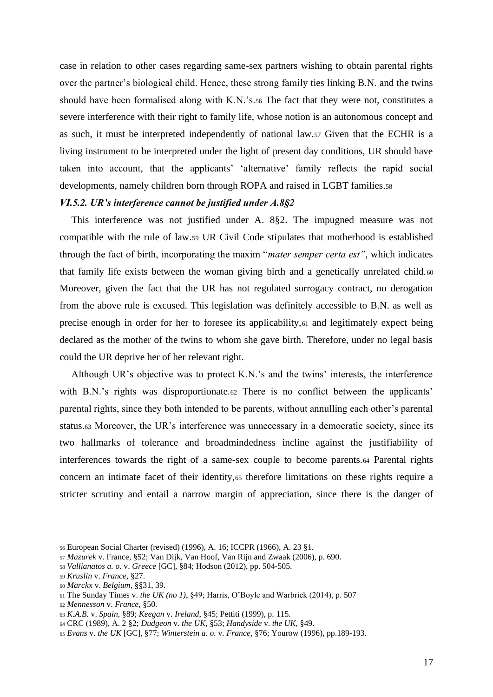case in relation to other cases regarding same-sex partners wishing to obtain parental rights over the partner's biological child. Hence, these strong family ties linking B.N. and the twins should have been formalised along with K.N.'s.<sup>56</sup> The fact that they were not, constitutes a severe interference with their right to family life, whose notion is an autonomous concept and as such, it must be interpreted independently of national law.<sup>57</sup> Given that the ECHR is a living instrument to be interpreted under the light of present day conditions, UR should have taken into account, that the applicants' 'alternative' family reflects the rapid social developments, namely children born through ROPA and raised in LGBT families.<sup>58</sup>

## <span id="page-16-0"></span>*VI.5.2. UR's interference cannot be justified under A.8§2*

This interference was not justified under A. 8§2. The impugned measure was not compatible with the rule of law.<sup>59</sup> UR Civil Code stipulates that motherhood is established through the fact of birth, incorporating the maxim "*mater semper certa est"*, which indicates that family life exists between the woman giving birth and a genetically unrelated child.<sup>60</sup> Moreover, given the fact that the UR has not regulated surrogacy contract, no derogation from the above rule is excused. This legislation was definitely accessible to B.N. as well as precise enough in order for her to foresee its applicability,<sup>61</sup> and legitimately expect being declared as the mother of the twins to whom she gave birth. Therefore, under no legal basis could the UR deprive her of her relevant right.

Although UR's objective was to protect K.N.'s and the twins' interests, the interference with B.N.'s rights was disproportionate.<sup>62</sup> There is no conflict between the applicants' parental rights, since they both intended to be parents, without annulling each other's parental status.<sup>63</sup> Moreover, the UR's interference was unnecessary in a democratic society, since its two hallmarks of tolerance and broadmindedness incline against the justifiability of interferences towards the right of a same-sex couple to become parents.<sup>64</sup> Parental rights concern an intimate facet of their identity,<sup>65</sup> therefore limitations on these rights require a stricter scrutiny and entail a narrow margin of appreciation, since there is the danger of

<sup>60</sup> *Marckx* v. *Belgium*, §§31, 39.

<sup>62</sup> *Mennesson* v. *France*, §50.

<sup>56</sup> European Social Charter (revised) (1996), A. 16; ICCPR (1966), A. 23 §1.

<sup>57</sup> *Mazurek* v. France, §52; Van Dijk, Van Hoof, Van Rijn and Zwaak (2006), p. 690.

<sup>58</sup> *Vallianatos a. o.* v. *Greece* [GC], §84; Hodson (2012), pp. 504-505.

<sup>59</sup> *Kruslin* v. *France,* §27.

<sup>61</sup> The Sunday Times v. *the UK (no 1)*, §49; Harris, O'Boyle and Warbrick (2014), p. 507

<sup>63</sup> *K.A.B.* v. *Spain*, §89; *Keegan* v. *Ireland*, §45; Pettiti (1999), p. 115.

<sup>64</sup> CRC (1989), A. 2 §2; *Dudgeon* v. *the UK*, §53; *Handyside* v. *the UK*, §49.

<sup>65</sup> *Evans* v. *the UK* [GC], §77; *Winterstein a. o.* v*. France*, §76; Yourow (1996), pp.189-193.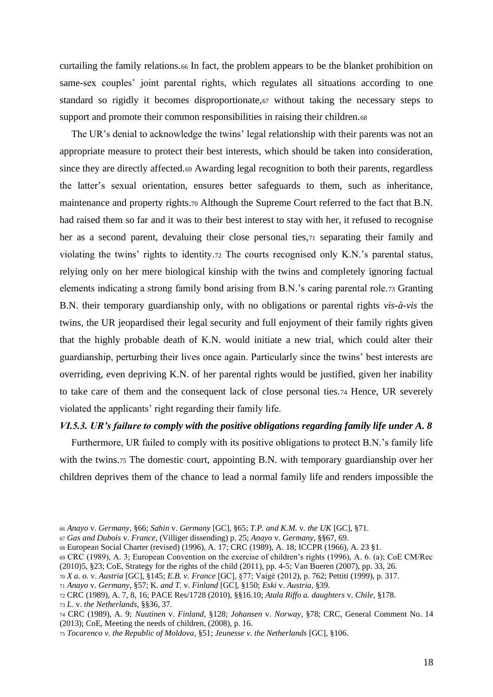curtailing the family relations.<sup>66</sup> In fact, the problem appears to be the blanket prohibition on same-sex couples' joint parental rights, which regulates all situations according to one standard so rigidly it becomes disproportionate,<sup>67</sup> without taking the necessary steps to support and promote their common responsibilities in raising their children.68

The UR's denial to acknowledge the twins' legal relationship with their parents was not an appropriate measure to protect their best interests, which should be taken into consideration, since they are directly affected.<sup>69</sup> Awarding legal recognition to both their parents, regardless the latter's sexual orientation, ensures better safeguards to them, such as inheritance, maintenance and property rights.<sup>70</sup> Although the Supreme Court referred to the fact that B.N. had raised them so far and it was to their best interest to stay with her, it refused to recognise her as a second parent, devaluing their close personal ties,<sup>71</sup> separating their family and violating the twins' rights to identity.<sup>72</sup> The courts recognised only K.N.'s parental status, relying only on her mere biological kinship with the twins and completely ignoring factual elements indicating a strong family bond arising from B.N.'s caring parental role.<sup>73</sup> Granting B.N. their temporary guardianship only, with no obligations or parental rights *vis-à-vis* the twins, the UR jeopardised their legal security and full enjoyment of their family rights given that the highly probable death of K.N. would initiate a new trial, which could alter their guardianship, perturbing their lives once again. Particularly since the twins' best interests are overriding, even depriving K.N. of her parental rights would be justified, given her inability to take care of them and the consequent lack of close personal ties.<sup>74</sup> Hence, UR severely violated the applicants' right regarding their family life.

#### <span id="page-17-0"></span>*VI.5.3. UR's failure to comply with the positive obligations regarding family life under A. 8*

Furthermore, UR failed to comply with its positive obligations to protect B.N.'s family life with the twins.75 The domestic court, appointing B.N. with temporary guardianship over her children deprives them of the chance to lead a normal family life and renders impossible the

<sup>70</sup> *X a. o.* v. *Austria* [GC], §145; *E.B. v. France* [GC], §77; Vaigė (2012), p. 762; Pettiti (1999), p. 317.

<sup>66</sup> *Anayo* v. *Germany*, §66; *Sahin* v. *Germany* [GC], §65; *T.P. and K.M.* v*. the UK* [GC], §71.

<sup>67</sup> *Gas and Dubois* v. *France*, (Villiger dissending) p. 25; *Anayo* v. *Germany*, §§67, 69.

<sup>68</sup> European Social Charter (revised) (1996), A. 17; CRC (1989), A. 18; ICCPR (1966), A. 23 §1.

<sup>69</sup> CRC (1989), A. 3; European Convention on the exercise of children's rights (1996), A. 6. (a); CoE CM/Rec (2010)5, §23; CoE, Strategy for the rights of the child (2011), pp. 4-5; Van Bueren (2007), pp. 33, 26.

<sup>71</sup> *Anayo* v. *Germany*, §57; K*. and T.* v. *Finland* [GC], §150; *Eski* v. *Austria*, §39.

<sup>72</sup> CRC (1989), A. 7, 8, 16; PACE Res/1728 (2010), §§16.10; *Atala Riffo a. daughters* v. *Chile*, §178.

<sup>73</sup> *L.* v. *the Netherlands*, §§36, 37.

<sup>74</sup> CRC (1989), A. 9; *Nuutinen* v. *Finland*, §128; *Johansen* v. *Norway,* §78; CRC, General Comment No. 14 (2013); CoE, Meeting the needs of children, (2008), p. 16.

<sup>75</sup> *Tocarenco v. the Republic of Moldova*, §51; *Jeunesse v. the Netherlands* [GC], §106.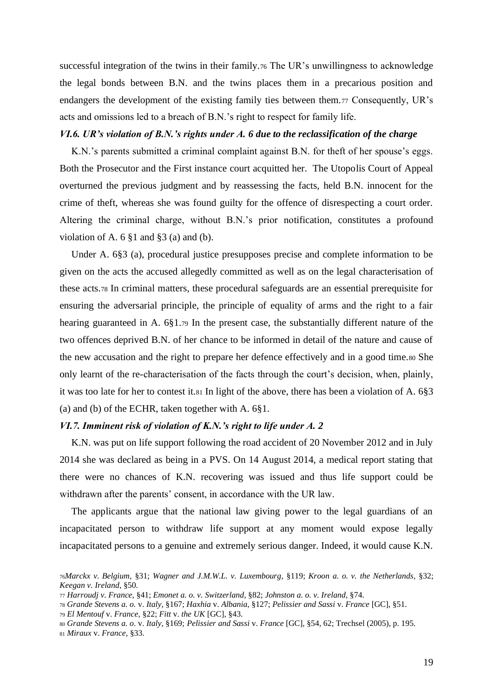successful integration of the twins in their family.<sup>76</sup> The UR's unwillingness to acknowledge the legal bonds between B.N. and the twins places them in a precarious position and endangers the development of the existing family ties between them.<sup>77</sup> Consequently, UR's acts and omissions led to a breach of B.N.'s right to respect for family life.

#### <span id="page-18-0"></span>*VI.6. UR's violation of B.N.'s rights under A. 6 due to the reclassification of the charge*

K.N.'s parents submitted a criminal complaint against B.N. for theft of her spouse's eggs. Both the Prosecutor and the First instance court acquitted her. The Utopolis Court of Appeal overturned the previous judgment and by reassessing the facts, held B.N. innocent for the crime of theft, whereas she was found guilty for the offence of disrespecting a court order. Altering the criminal charge, without B.N.'s prior notification, constitutes a profound violation of A.  $6 \n$1$  and  $\$3$  (a) and (b).

Under A. 6§3 (a), procedural justice presupposes precise and complete information to be given on the acts the accused allegedly committed as well as on the legal characterisation of these acts.<sup>78</sup> In criminal matters, these procedural safeguards are an essential prerequisite for ensuring the adversarial principle, the principle of equality of arms and the right to a fair hearing guaranteed in A. 6§1.<sup>79</sup> In the present case, the substantially different nature of the two offences deprived B.N. of her chance to be informed in detail of the nature and cause of the new accusation and the right to prepare her defence effectively and in a good time.<sup>80</sup> She only learnt of the re-characterisation of the facts through the court's decision, when, plainly, it was too late for her to contest it.<sup>81</sup> In light of the above, there has been a violation of A. 6§3 (a) and (b) of the ECHR, taken together with A. 6§1.

#### <span id="page-18-1"></span>*VI.7. Imminent risk of violation of K.N.'s right to life under A. 2*

K.N. was put on life support following the road accident of 20 November 2012 and in July 2014 she was declared as being in a PVS. On 14 August 2014, a medical report stating that there were no chances of K.N. recovering was issued and thus life support could be withdrawn after the parents' consent, in accordance with the UR law.

The applicants argue that the national law giving power to the legal guardians of an incapacitated person to withdraw life support at any moment would expose legally incapacitated persons to a genuine and extremely serious danger. Indeed, it would cause K.N.

<sup>79</sup> *El Mentouf* v. *France*, §22; *Fitt* v. *the UK* [GC], §43.

<sup>76</sup>*Marckx v. Belgium*, §31; *Wagner and J.M.W.L. v. Luxembourg*, §119; *Kroon a. o. v. the Netherlands*, §32; *Keegan v. Ireland*, §50.

<sup>77</sup> *Harroudj v. France*, §41; *Emonet a. o. v. Switzerland*, §82; *Johnston a. o. v. Ireland*, §74.

<sup>78</sup> *Grande Stevens a. o.* v. *Italy*, §167; *Haxhia* v. *Albania*, §127; *Pelissier and Sassi* v. *France* [GC], §51.

<sup>80</sup> *Grande Stevens a. o.* v. *Italy*, §169; *Pelissier and Sassi* v. *France* [GC], §54, 62; Trechsel (2005), p. 195.